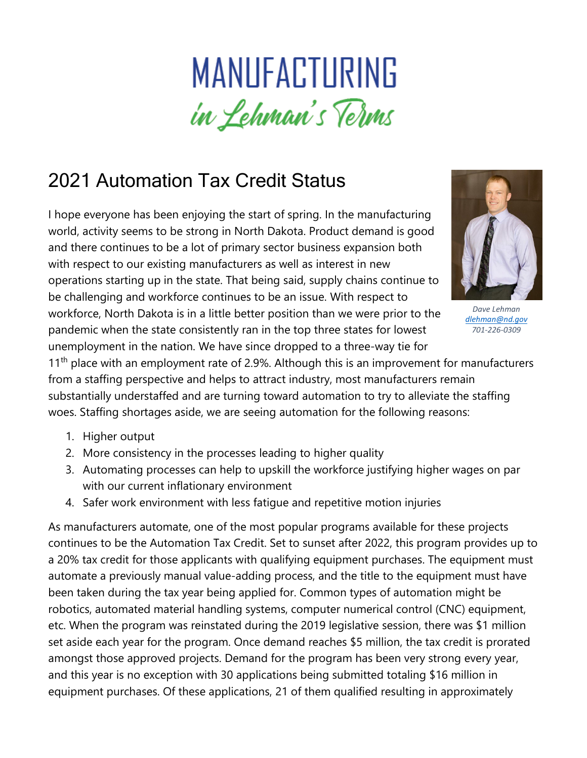## MANUFACTURING in Lehman's Terms

## 2021 Automation Tax Credit Status

I hope everyone has been enjoying the start of spring. In the manufacturing world, activity seems to be strong in North Dakota. Product demand is good and there continues to be a lot of primary sector business expansion both with respect to our existing manufacturers as well as interest in new operations starting up in the state. That being said, supply chains continue to be challenging and workforce continues to be an issue. With respect to workforce, North Dakota is in a little better position than we were prior to the pandemic when the state consistently ran in the top three states for lowest unemployment in the nation. We have since dropped to a three-way tie for



*Dave Lehman [dlehman@nd.gov](mailto:dlehman@nd.gov) 701-226-0309*

11<sup>th</sup> place with an employment rate of 2.9%. Although this is an improvement for manufacturers from a staffing perspective and helps to attract industry, most manufacturers remain substantially understaffed and are turning toward automation to try to alleviate the staffing woes. Staffing shortages aside, we are seeing automation for the following reasons:

- 1. Higher output
- 2. More consistency in the processes leading to higher quality
- 3. Automating processes can help to upskill the workforce justifying higher wages on par with our current inflationary environment
- 4. Safer work environment with less fatigue and repetitive motion injuries

As manufacturers automate, one of the most popular programs available for these projects continues to be the Automation Tax Credit. Set to sunset after 2022, this program provides up to a 20% tax credit for those applicants with qualifying equipment purchases. The equipment must automate a previously manual value-adding process, and the title to the equipment must have been taken during the tax year being applied for. Common types of automation might be robotics, automated material handling systems, computer numerical control (CNC) equipment, etc. When the program was reinstated during the 2019 legislative session, there was \$1 million set aside each year for the program. Once demand reaches \$5 million, the tax credit is prorated amongst those approved projects. Demand for the program has been very strong every year, and this year is no exception with 30 applications being submitted totaling \$16 million in equipment purchases. Of these applications, 21 of them qualified resulting in approximately